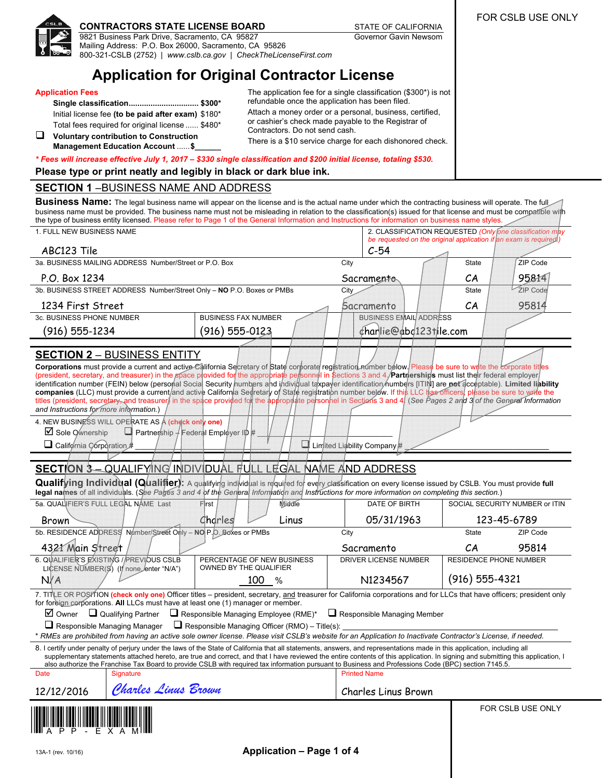

## **CONTRACTORS STATE LICENSE BOARD STATE OF CALIFORNIA**

9821 Business Park Drive, Sacramento, CA 95827 Mailing Address: P.O. Box 26000, Sacramento, CA 95826 800-321-CSLB (2752) | *[www.cslb.ca.gov](http://www.cslb.ca.gov)* | *[CheckTheLicenseFirst.com](www.CheckTheLicenseFirst.com)*

# **Application for Original Contractor License**

#### **Application Fees**

**Single classification................................ \$300\***  Initial license fee **(to be paid after exam)** \$180\* Total fees required for original license ...... \$480\* **Voluntary contribution to Construction**

**Management Education Account** ...... **\$\_\_\_\_\_\_** 

The application fee for a single classification (\$300\*) is not refundable once the application has been filed. Attach a money order or a personal, business, certified, or cashier's check made payable to the Registrar of Contractors. Do not send cash.

Governor Gavin Newsom

There is a \$10 service charge for each dishonored check.

*\* Fees will increase effective July 1, 2017 – \$330 single classification and \$200 initial license, totaling \$530.*

**Please type or print neatly and legibly in black or dark blue ink.** 

## **SECTION 1** –BUSINESS NAME AND ADDRESS

**Business Name:** The legal business name will appear on the license and is the actual name under which the contracting business will operate. The full business name must be provided. The business name must not be misleading in relation to the classification(s) issued for that license and must be compatible with the type of business entity licensed. Please refer to Page 1 of the General Information and Instructions for information on business name styles.

| 1. FULL NEW BUSINESS NAME                                                                                                                                                                                                                                                                                                                                                                                                                                                                                                                                                                                                                                                                                                                                                                                                                                                                                                                                                                                                                                                                                                                                                                                                                                                                                                                                                                    |                                                      |                     | 2. CLASSIFICATION REQUESTED (Only one classification may<br>be requested on the original application if an exam is required. |                               |                                |
|----------------------------------------------------------------------------------------------------------------------------------------------------------------------------------------------------------------------------------------------------------------------------------------------------------------------------------------------------------------------------------------------------------------------------------------------------------------------------------------------------------------------------------------------------------------------------------------------------------------------------------------------------------------------------------------------------------------------------------------------------------------------------------------------------------------------------------------------------------------------------------------------------------------------------------------------------------------------------------------------------------------------------------------------------------------------------------------------------------------------------------------------------------------------------------------------------------------------------------------------------------------------------------------------------------------------------------------------------------------------------------------------|------------------------------------------------------|---------------------|------------------------------------------------------------------------------------------------------------------------------|-------------------------------|--------------------------------|
| ABC123 Tile                                                                                                                                                                                                                                                                                                                                                                                                                                                                                                                                                                                                                                                                                                                                                                                                                                                                                                                                                                                                                                                                                                                                                                                                                                                                                                                                                                                  |                                                      |                     | $C-54$                                                                                                                       |                               |                                |
| 3a. BUSINESS MAILING ADDRESS Number/Street or P.O. Box                                                                                                                                                                                                                                                                                                                                                                                                                                                                                                                                                                                                                                                                                                                                                                                                                                                                                                                                                                                                                                                                                                                                                                                                                                                                                                                                       |                                                      | City                |                                                                                                                              | State                         | ZIP Code                       |
| P.O. Box 1234                                                                                                                                                                                                                                                                                                                                                                                                                                                                                                                                                                                                                                                                                                                                                                                                                                                                                                                                                                                                                                                                                                                                                                                                                                                                                                                                                                                |                                                      |                     | Sacramento                                                                                                                   | CA                            | 95814                          |
| 3b. BUSINESS STREET ADDRESS Number/Street Only - NO P.O. Boxes or PMBs                                                                                                                                                                                                                                                                                                                                                                                                                                                                                                                                                                                                                                                                                                                                                                                                                                                                                                                                                                                                                                                                                                                                                                                                                                                                                                                       |                                                      | City                |                                                                                                                              | <b>State</b>                  | ZIP Code                       |
| 1234 First Street                                                                                                                                                                                                                                                                                                                                                                                                                                                                                                                                                                                                                                                                                                                                                                                                                                                                                                                                                                                                                                                                                                                                                                                                                                                                                                                                                                            |                                                      |                     | Sacramento                                                                                                                   | CA                            | 95814                          |
| 3c. BUSINESS PHONE NUMBER                                                                                                                                                                                                                                                                                                                                                                                                                                                                                                                                                                                                                                                                                                                                                                                                                                                                                                                                                                                                                                                                                                                                                                                                                                                                                                                                                                    | <b>BUSINESS FAX NUMBER</b>                           |                     | <b>BUSINESS EMAIL ADDRESS</b>                                                                                                |                               |                                |
| (916) 555-1234                                                                                                                                                                                                                                                                                                                                                                                                                                                                                                                                                                                                                                                                                                                                                                                                                                                                                                                                                                                                                                                                                                                                                                                                                                                                                                                                                                               | $(916) 555 - 0123$                                   |                     | charlie@abd123tile.com                                                                                                       |                               |                                |
| <b>SECTION 2 - BUSINESS ENTITY</b><br><b>Corporations</b> must provide a current and active California Secretary of State corporate registration number below. Please be sure to write the corporate titles<br>(president, secretary, and treasurer) in the space provided for the appropriate personnel in Sections 3 and 4. <b>Partnerships</b> must list their federal employer<br>identification number (FEIN) below (personal Social Security humbers and individual taxpayer identification humbers [ITIN] are not acceptable). Limited liability<br>companies (LLC) must provide a current/and active California Secretary of State registration number below. If this LLC has officers, please be sure to write the<br>titles (president, secretary, and treasurer) in the space provided for the appropriate personnel in Sections 3 and 4. (See Pages 2 and 3 of the General Information<br>and Instructions for more information.)<br>4. NEW BUSINESS WILL OPERATE AS A (check only one)<br>$\boxtimes$ Sole Ownership<br>$\Box$ Partnership $\frac{1}{2}$ Federal Employer ID #<br>$\Box$ California Corporation #<br>Limited Liability Company#<br><b>SECTION 3-QUALIFYING INDIVIDUAL FULL LEGAL NAME AND ADDRESS</b><br>Qualifying Individual (Qualifier): A qualifying individual is required for every classification on every license issued by CSLB. You must provide full |                                                      |                     |                                                                                                                              |                               |                                |
| legal names of all individuals. (See Pages 3 and 4 of the General Information and Instructions for more information on completing this section.)<br>5a. QUAL FIER'S FULL LEGAL NAME Last                                                                                                                                                                                                                                                                                                                                                                                                                                                                                                                                                                                                                                                                                                                                                                                                                                                                                                                                                                                                                                                                                                                                                                                                     | First<br>Middle                                      |                     | DATE OF BIRTH                                                                                                                |                               | SOCIAL SECURITY NUMBER or ITIN |
| <b>Brown</b>                                                                                                                                                                                                                                                                                                                                                                                                                                                                                                                                                                                                                                                                                                                                                                                                                                                                                                                                                                                                                                                                                                                                                                                                                                                                                                                                                                                 | Charles<br>Linus                                     |                     | 05/31/1963                                                                                                                   |                               | 123-45-6789                    |
| 5b. RESIDENCE ADDRESS Number/Street Only - NO P.O. Boxes or PMBs                                                                                                                                                                                                                                                                                                                                                                                                                                                                                                                                                                                                                                                                                                                                                                                                                                                                                                                                                                                                                                                                                                                                                                                                                                                                                                                             |                                                      | City                |                                                                                                                              | State                         | ZIP Code                       |
| 4321 Main Street                                                                                                                                                                                                                                                                                                                                                                                                                                                                                                                                                                                                                                                                                                                                                                                                                                                                                                                                                                                                                                                                                                                                                                                                                                                                                                                                                                             |                                                      |                     | Sacramento                                                                                                                   | CA                            | 95814                          |
| 6. QUALIFIER'S EXISTING / PREVIOUS CSLB<br>LICENSE NUMBER(S) (If none enter "N/A")                                                                                                                                                                                                                                                                                                                                                                                                                                                                                                                                                                                                                                                                                                                                                                                                                                                                                                                                                                                                                                                                                                                                                                                                                                                                                                           | PERCENTAGE OF NEW BUSINESS<br>OWNED BY THE QUALIFIER |                     | DRIVER LICENSE NUMBER                                                                                                        | <b>RESIDENCE PHONE NUMBER</b> |                                |
| N/A<br>100 %                                                                                                                                                                                                                                                                                                                                                                                                                                                                                                                                                                                                                                                                                                                                                                                                                                                                                                                                                                                                                                                                                                                                                                                                                                                                                                                                                                                 |                                                      |                     | $(916) 555 - 4321$<br>N1234567                                                                                               |                               |                                |
| 7. TITLE OR POSITION (check only one) Officer titles - president, secretary, and treasurer for California corporations and for LLCs that have officers; president only<br>for foreign corporations. All LLCs must have at least one (1) manager or member.<br>$\Box$ Qualifying Partner<br>$\Box$ Responsible Managing Employee (RME)*<br>⊠ Owner<br>$\Box$ Responsible Managing Member<br>$\Box$ Responsible Managing Manager<br>$\Box$ Responsible Managing Officer (RMO) – Title(s):<br>* RMEs are prohibited from having an active sole owner license. Please visit CSLB's website for an Application to Inactivate Contractor's License, if needed.<br>8. I certify under penalty of perjury under the laws of the State of California that all statements, answers, and representations made in this application, including all<br>supplementary statements attached hereto, are true and correct, and that I have reviewed the entire contents of this application. In signing and submitting this application, I                                                                                                                                                                                                                                                                                                                                                                     |                                                      |                     |                                                                                                                              |                               |                                |
| also authorize the Franchise Tax Board to provide CSLB with required tax information pursuant to Business and Professions Code (BPC) section 7145.5.<br>Date<br>Signature                                                                                                                                                                                                                                                                                                                                                                                                                                                                                                                                                                                                                                                                                                                                                                                                                                                                                                                                                                                                                                                                                                                                                                                                                    |                                                      | <b>Printed Name</b> |                                                                                                                              |                               |                                |
| Charles Linus Brown<br>12/12/2016                                                                                                                                                                                                                                                                                                                                                                                                                                                                                                                                                                                                                                                                                                                                                                                                                                                                                                                                                                                                                                                                                                                                                                                                                                                                                                                                                            |                                                      |                     | <b>Charles Linus Brown</b>                                                                                                   |                               |                                |
|                                                                                                                                                                                                                                                                                                                                                                                                                                                                                                                                                                                                                                                                                                                                                                                                                                                                                                                                                                                                                                                                                                                                                                                                                                                                                                                                                                                              |                                                      |                     |                                                                                                                              |                               | FOR CSLB USE ONLY              |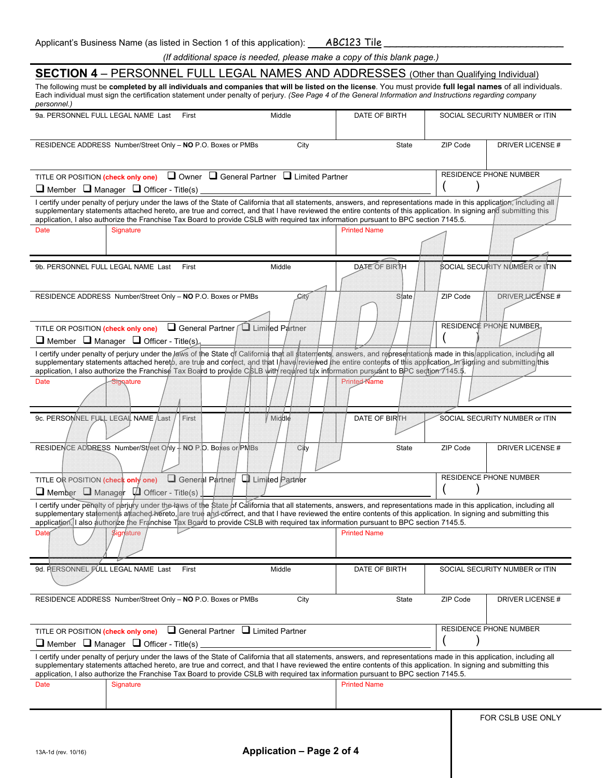| Applicant's Business Name (as listed in Section 1 of this application): ____________________________                                                                                                                                                                                                                                                                                                                                                                              |      |                     |          |                                |  |
|-----------------------------------------------------------------------------------------------------------------------------------------------------------------------------------------------------------------------------------------------------------------------------------------------------------------------------------------------------------------------------------------------------------------------------------------------------------------------------------|------|---------------------|----------|--------------------------------|--|
| (If additional space is needed, please make a copy of this blank page.)                                                                                                                                                                                                                                                                                                                                                                                                           |      |                     |          |                                |  |
| <b>SECTION 4</b> – PERSONNEL FULL LEGAL NAMES AND ADDRESSES (Other than Qualifying Individual)<br>The following must be completed by all individuals and companies that will be listed on the license. You must provide full legal names of all individuals.                                                                                                                                                                                                                      |      |                     |          |                                |  |
| Each individual must sign the certification statement under penalty of perjury. (See Page 4 of the General Information and Instructions regarding company<br>personnel.)                                                                                                                                                                                                                                                                                                          |      |                     |          |                                |  |
| 9a. PERSONNEL FULL LEGAL NAME Last<br>Middle<br>First                                                                                                                                                                                                                                                                                                                                                                                                                             |      | DATE OF BIRTH       |          | SOCIAL SECURITY NUMBER or ITIN |  |
| RESIDENCE ADDRESS Number/Street Only - NO P.O. Boxes or PMBs                                                                                                                                                                                                                                                                                                                                                                                                                      | City | <b>State</b>        | ZIP Code | DRIVER LICENSE #               |  |
| $\Box$ Owner $\Box$ General Partner $\Box$ Limited Partner<br>TITLE OR POSITION (check only one)                                                                                                                                                                                                                                                                                                                                                                                  |      |                     |          | <b>RESIDENCE PHONE NUMBER</b>  |  |
| $\Box$ Member $\Box$ Manager $\Box$ Officer - Title(s)<br>I certify under penalty of perjury under the laws of the State of California that all statements, answers, and representations made in this application, including all                                                                                                                                                                                                                                                  |      |                     |          |                                |  |
| supplementary statements attached hereto, are true and correct, and that I have reviewed the entire contents of this application. In signing and submitting this<br>application, I also authorize the Franchise Tax Board to provide CSLB with required tax information pursuant to BPC section 7145.5.                                                                                                                                                                           |      |                     |          |                                |  |
| Date<br>Signature                                                                                                                                                                                                                                                                                                                                                                                                                                                                 |      | <b>Printed Name</b> |          |                                |  |
|                                                                                                                                                                                                                                                                                                                                                                                                                                                                                   |      |                     |          |                                |  |
| 9b. PERSONNEL FULL LEGAL NAME Last<br>First<br>Middle                                                                                                                                                                                                                                                                                                                                                                                                                             |      | DATE OF BIRTH       |          | SOCIAL SECURITY NUMBER or ITIN |  |
|                                                                                                                                                                                                                                                                                                                                                                                                                                                                                   |      |                     |          |                                |  |
| RESIDENCE ADDRESS Number/Street Only - NO P.O. Boxes or PMBs                                                                                                                                                                                                                                                                                                                                                                                                                      | Gity | State               | ZIP Code | DRIVER LICENSE #               |  |
|                                                                                                                                                                                                                                                                                                                                                                                                                                                                                   |      |                     |          |                                |  |
| General Partner Luimited Partner<br>TITLE OR POSITION (check only one)                                                                                                                                                                                                                                                                                                                                                                                                            |      |                     |          | <b>RESIDENCE PHONE NUMBER.</b> |  |
| $\Box$ Member $\Box$ Manager $\Box$ Officer - Title(s)                                                                                                                                                                                                                                                                                                                                                                                                                            |      |                     |          |                                |  |
| I certify under penalty of perjury under the laws of the State of California that all statements, answers, and representations made in this application, including all<br>supplementary statements attached hereto, are true and correct, and that I have reviewed the entire contents of this application. In signing and submitting this<br>application, I also authorize the Franchise Tax Board to provide CBLB with required tax information pursuant to BPC section 7145.5. |      |                     |          |                                |  |
| <b>Printed-Name</b><br>Date<br><b>Signature</b>                                                                                                                                                                                                                                                                                                                                                                                                                                   |      |                     |          |                                |  |
|                                                                                                                                                                                                                                                                                                                                                                                                                                                                                   |      |                     |          |                                |  |
| 9c. PERSOMNEL FULL LEGAIL NAME Last<br>Middle<br>First                                                                                                                                                                                                                                                                                                                                                                                                                            |      | DATE OF BIRTH       |          | SOCIAL SECURITY NUMBER or ITIN |  |
|                                                                                                                                                                                                                                                                                                                                                                                                                                                                                   |      |                     |          |                                |  |
| RESIDENCE ADDRESS Number/Street Only - NO P.O. Boxes or PMBs                                                                                                                                                                                                                                                                                                                                                                                                                      | City | State               | ZIP Code | DRIVER LICENSE #               |  |
| General Partner Q Limited Partner<br>TITLE OR POSITION (check only one)                                                                                                                                                                                                                                                                                                                                                                                                           |      |                     |          | <b>RESIDENCE PHONE NUMBER</b>  |  |
| $\Box$ Member $\Box$ Manager $\Box$ Officer - Title(s)                                                                                                                                                                                                                                                                                                                                                                                                                            |      |                     |          |                                |  |
| I certify under penalty of perjury under the laws of the State of California that all statements, answers, and representations made in this application, including all<br>supplementary statements attached hereto, are true and correct, and that I have reviewed the entire contents of this application. In signing and submitting this<br>application, I also authorize the Franchise Tax Board to provide CSLB with required tax information pursuant to BPC section 7145.5. |      |                     |          |                                |  |
| <b>Date</b><br><b>Signature</b>                                                                                                                                                                                                                                                                                                                                                                                                                                                   |      | <b>Printed Name</b> |          |                                |  |
|                                                                                                                                                                                                                                                                                                                                                                                                                                                                                   |      |                     |          |                                |  |
| 9d. PERSONNEL FULL LEGAL NAME Last<br>First<br>Middle                                                                                                                                                                                                                                                                                                                                                                                                                             |      | DATE OF BIRTH       |          | SOCIAL SECURITY NUMBER or ITIN |  |
|                                                                                                                                                                                                                                                                                                                                                                                                                                                                                   |      |                     |          |                                |  |
|                                                                                                                                                                                                                                                                                                                                                                                                                                                                                   |      |                     |          |                                |  |

|                                                                                                                                                                  | RESIDENCE ADDRESS Number/Street Only - NO P.O. Boxes or PMBs                                                                                                           | City | State               | ZIP Code | DRIVER LICENSE#               |  |  |  |  |
|------------------------------------------------------------------------------------------------------------------------------------------------------------------|------------------------------------------------------------------------------------------------------------------------------------------------------------------------|------|---------------------|----------|-------------------------------|--|--|--|--|
|                                                                                                                                                                  |                                                                                                                                                                        |      |                     |          |                               |  |  |  |  |
|                                                                                                                                                                  |                                                                                                                                                                        |      |                     |          |                               |  |  |  |  |
|                                                                                                                                                                  |                                                                                                                                                                        |      |                     |          |                               |  |  |  |  |
|                                                                                                                                                                  | TITLE OR POSITION (check only one) $\Box$ General Partner $\Box$ Limited Partner                                                                                       |      |                     |          | <b>RESIDENCE PHONE NUMBER</b> |  |  |  |  |
|                                                                                                                                                                  |                                                                                                                                                                        |      |                     |          |                               |  |  |  |  |
|                                                                                                                                                                  | $\Box$ Member $\Box$ Manager $\Box$ Officer - Title(s)                                                                                                                 |      |                     |          |                               |  |  |  |  |
|                                                                                                                                                                  | I certify under penalty of perjury under the laws of the State of California that all statements, answers, and representations made in this application, including all |      |                     |          |                               |  |  |  |  |
| supplementary statements attached hereto, are true and correct, and that I have reviewed the entire contents of this application. In signing and submitting this |                                                                                                                                                                        |      |                     |          |                               |  |  |  |  |
| application, I also authorize the Franchise Tax Board to provide CSLB with required tax information pursuant to BPC section 7145.5.                              |                                                                                                                                                                        |      |                     |          |                               |  |  |  |  |
|                                                                                                                                                                  |                                                                                                                                                                        |      |                     |          |                               |  |  |  |  |
| Date                                                                                                                                                             | Signature                                                                                                                                                              |      | <b>Printed Name</b> |          |                               |  |  |  |  |
|                                                                                                                                                                  |                                                                                                                                                                        |      |                     |          |                               |  |  |  |  |
|                                                                                                                                                                  |                                                                                                                                                                        |      |                     |          |                               |  |  |  |  |
|                                                                                                                                                                  |                                                                                                                                                                        |      |                     |          |                               |  |  |  |  |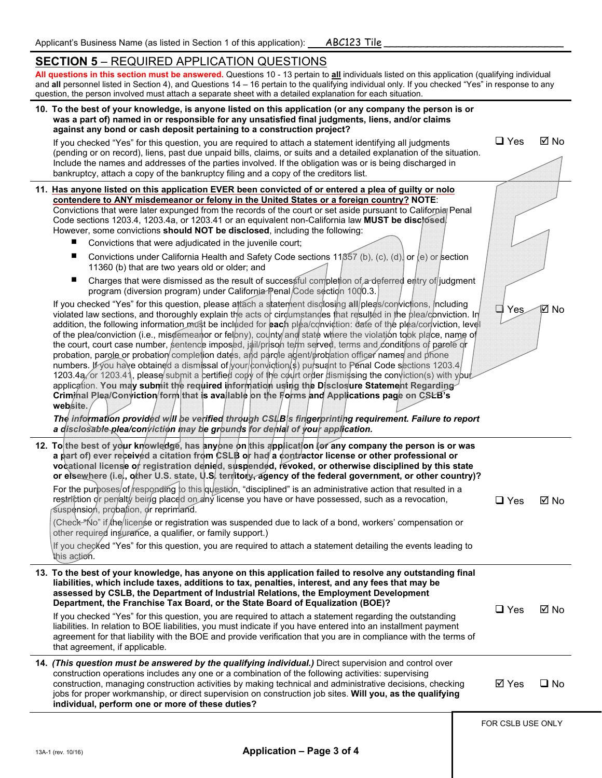## **SECTION 5** – REQUIRED APPLICATION QUESTIONS

**All questions in this section must be answered.** Questions 10 - 13 pertain to **all** individuals listed on this application (qualifying individual and **all** personnel listed in Section 4), and Questions 14 – 16 pertain to the qualifying individual only. If you checked "Yes" in response to any question, the person involved must attach a separate sheet with a detailed explanation for each situation.

| 10. To the best of your knowledge, is anyone listed on this application (or any company the person is or<br>was a part of) named in or responsible for any unsatisfied final judgments, liens, and/or claims<br>against any bond or cash deposit pertaining to a construction project?                                                                                                                                                                                                                                                                                                                                                                                                                                                                                                                                                                                                                                                                                                                                                                                                                                                                                                                                                                                                                                                                                                                                                                                                                                                                                                                                                                                                                                                                                                                                                                                                                                                                                                                                                                                                                                                                                                                                                                                      |                   |                |
|-----------------------------------------------------------------------------------------------------------------------------------------------------------------------------------------------------------------------------------------------------------------------------------------------------------------------------------------------------------------------------------------------------------------------------------------------------------------------------------------------------------------------------------------------------------------------------------------------------------------------------------------------------------------------------------------------------------------------------------------------------------------------------------------------------------------------------------------------------------------------------------------------------------------------------------------------------------------------------------------------------------------------------------------------------------------------------------------------------------------------------------------------------------------------------------------------------------------------------------------------------------------------------------------------------------------------------------------------------------------------------------------------------------------------------------------------------------------------------------------------------------------------------------------------------------------------------------------------------------------------------------------------------------------------------------------------------------------------------------------------------------------------------------------------------------------------------------------------------------------------------------------------------------------------------------------------------------------------------------------------------------------------------------------------------------------------------------------------------------------------------------------------------------------------------------------------------------------------------------------------------------------------------|-------------------|----------------|
| If you checked "Yes" for this question, you are required to attach a statement identifying all judgments<br>(pending or on record), liens, past due unpaid bills, claims, or suits and a detailed explanation of the situation.<br>Include the names and addresses of the parties involved. If the obligation was or is being discharged in<br>bankruptcy, attach a copy of the bankruptcy filing and a copy of the creditors list.                                                                                                                                                                                                                                                                                                                                                                                                                                                                                                                                                                                                                                                                                                                                                                                                                                                                                                                                                                                                                                                                                                                                                                                                                                                                                                                                                                                                                                                                                                                                                                                                                                                                                                                                                                                                                                         | $\Box$ Yes        | ⊠ No           |
| 11. Has anyone listed on this application EVER been convicted of or entered a plea of guilty or nolo<br>contendere to ANY misdemeanor or felony in the United States or a foreign country? NOTE:<br>Convictions that were later expunged from the records of the court or set aside pursuant to California Penal<br>Code sections 1203.4, 1203.4a, or 1203.41 or an equivalent non-California law MUST be disclosed<br>However, some convictions should NOT be disclosed, including the following:<br>Convictions that were adjudicated in the juvenile court;<br>Convictions under California Health and Safety Code sections 11 $\beta$ 57 (b), (c), (d), or (e) or section<br>ш<br>11360 (b) that are two years old or older; and<br>Charges that were dismissed as the result of successful completion of a deferred entry of judgment<br>п<br>program (diversion program) under California Penal/Code section 1000.3.<br>If you checked "Yes" for this question, please attach a statement disclosing all/pleas/convictions, including<br>violated law sections, and thoroughly explain the acts or circumstances that resulted in the plea/conviction. In<br>addition, the following information must be included for each plea/conviction: date of the plea/conviction, level<br>of the plea/conviction (i.e., misoemeanor or felony), county and state where the violation took place, name of<br>the court, court case number, sentence imposed, jail/prison telm served, terms and conditions of parole or<br>probation, parole or probation completion dates, and parole agent/probation officer names and phone<br>numbers. If you have obtained a dismissal of your conviction ( $\frac{1}{2}$ ) pursuant to Penal Code sections 1203.4<br>1203.4a or 1203.41, please submit a certified copy of the court order dismissing the conviction(s) with your<br>application. You may submit the required information using the Disclosure Statement Regarding<br>Crimmal Plea/Conviction/form that is available on the Forms and Applications page on CSEB's<br>website.<br>The information provided will be verified through CSI B s fingerprinting requirement. Failure to report<br>a disclosable plea/conviction may be grounds for denial of your application. | Yes               | ⊠ No           |
| 12. To the best of your knowledge, has anyone on this application for any company the person is or was<br>a part of) ever received a citation from CSLB or had a contractor license or other professional or<br>vocational license of registration denied, suspended, revoked, or otherwise disciplined by this state<br>or elsewhere (i.e., other U.S. state, U.S. territory, agency of the federal government, or other country)?<br>For the purposes/of/responding to this question, "disciplined" is an administrative action that resulted in a<br>restriction or penalty being placed on any license you have or have possessed, such as a revocation,<br>suspension, probation, or reprimand.<br>(Check-"No" if the license or registration was suspended due to lack of a bond, workers' compensation or<br>other required insurance, a qualifier, or family support.)<br>If you checked "Yes" for this question, you are required to attach a statement detailing the events leading to<br>this action.                                                                                                                                                                                                                                                                                                                                                                                                                                                                                                                                                                                                                                                                                                                                                                                                                                                                                                                                                                                                                                                                                                                                                                                                                                                            | $\Box$ Yes        | $\boxtimes$ No |
| 13. To the best of your knowledge, has anyone on this application failed to resolve any outstanding final<br>liabilities, which include taxes, additions to tax, penalties, interest, and any fees that may be<br>assessed by CSLB, the Department of Industrial Relations, the Employment Development<br>Department, the Franchise Tax Board, or the State Board of Equalization (BOE)?<br>If you checked "Yes" for this question, you are required to attach a statement regarding the outstanding<br>liabilities. In relation to BOE liabilities, you must indicate if you have entered into an installment payment<br>agreement for that liability with the BOE and provide verification that you are in compliance with the terms of<br>that agreement, if applicable.                                                                                                                                                                                                                                                                                                                                                                                                                                                                                                                                                                                                                                                                                                                                                                                                                                                                                                                                                                                                                                                                                                                                                                                                                                                                                                                                                                                                                                                                                                 | $\Box$ Yes        | ⊠ No           |
| 14. (This question must be answered by the qualifying individual.) Direct supervision and control over<br>construction operations includes any one or a combination of the following activities: supervising<br>construction, managing construction activities by making technical and administrative decisions, checking<br>jobs for proper workmanship, or direct supervision on construction job sites. Will you, as the qualifying<br>individual, perform one or more of these duties?                                                                                                                                                                                                                                                                                                                                                                                                                                                                                                                                                                                                                                                                                                                                                                                                                                                                                                                                                                                                                                                                                                                                                                                                                                                                                                                                                                                                                                                                                                                                                                                                                                                                                                                                                                                  | ⊠ Yes             | $\square$ No   |
|                                                                                                                                                                                                                                                                                                                                                                                                                                                                                                                                                                                                                                                                                                                                                                                                                                                                                                                                                                                                                                                                                                                                                                                                                                                                                                                                                                                                                                                                                                                                                                                                                                                                                                                                                                                                                                                                                                                                                                                                                                                                                                                                                                                                                                                                             | FOR CSLB USE ONLY |                |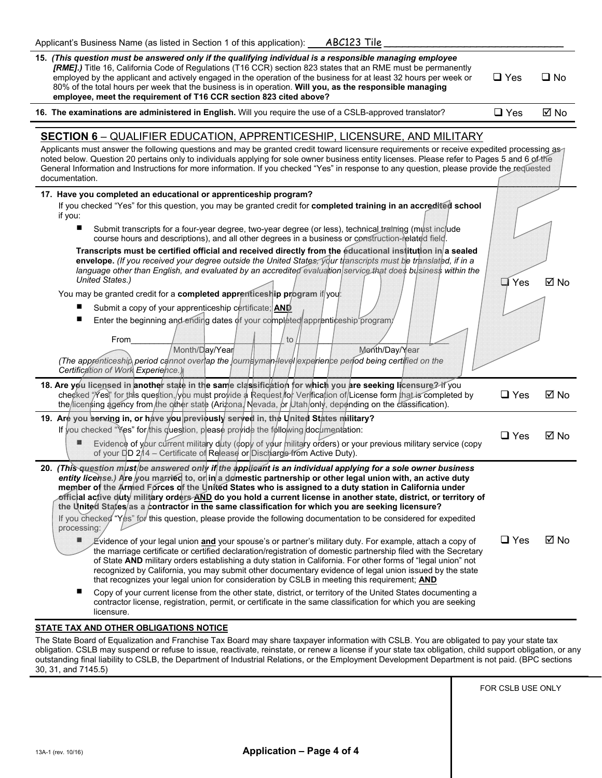| 15. (This question must be answered only if the qualifying individual is a responsible managing employee<br><b>[RME].</b> ) Title 16, California Code of Regulations (T16 CCR) section 823 states that an RME must be permanently<br>employed by the applicant and actively engaged in the operation of the business for at least 32 hours per week or<br>80% of the total hours per week that the business is in operation. Will you, as the responsible managing<br>employee, meet the requirement of T16 CCR section 823 cited above? | $\Box$ Yes    | ∩ No |  |  |
|------------------------------------------------------------------------------------------------------------------------------------------------------------------------------------------------------------------------------------------------------------------------------------------------------------------------------------------------------------------------------------------------------------------------------------------------------------------------------------------------------------------------------------------|---------------|------|--|--|
| 16. The examinations are administered in English. Will you require the use of a CSLB-approved translator?                                                                                                                                                                                                                                                                                                                                                                                                                                | $\square$ Yes | ⊠ No |  |  |
|                                                                                                                                                                                                                                                                                                                                                                                                                                                                                                                                          |               |      |  |  |
| <b>SECTION 6 - QUALIFIER EDUCATION, APPRENTICESHIP, LICENSURE, AND MILITARY</b>                                                                                                                                                                                                                                                                                                                                                                                                                                                          |               |      |  |  |
| Applicants must answer the following questions and may be granted credit toward licensure requirements or receive expedited processing as<br>noted below. Question 20 pertains only to individuals applying for sole owner business entity licenses. Please refer to Pages 5 and 6 of the<br>General Information and Instructions for more information. If you checked "Yes" in response to any question, please provide the requested<br>documentation.                                                                                 |               |      |  |  |

| 17. Have you completed an educational or apprenticeship program?                                                                                                                                                                                                                                                                                                                                                                                                                                                                                                                                                                                                                                                                                                                                                                                                                                                                                                                                                                                                                                                                                                                                                                                                                                                                                                                                                                                                                                     |            |      |
|------------------------------------------------------------------------------------------------------------------------------------------------------------------------------------------------------------------------------------------------------------------------------------------------------------------------------------------------------------------------------------------------------------------------------------------------------------------------------------------------------------------------------------------------------------------------------------------------------------------------------------------------------------------------------------------------------------------------------------------------------------------------------------------------------------------------------------------------------------------------------------------------------------------------------------------------------------------------------------------------------------------------------------------------------------------------------------------------------------------------------------------------------------------------------------------------------------------------------------------------------------------------------------------------------------------------------------------------------------------------------------------------------------------------------------------------------------------------------------------------------|------------|------|
| If you checked "Yes" for this question, you may be granted credit for completed training in an accredited school<br>if you:                                                                                                                                                                                                                                                                                                                                                                                                                                                                                                                                                                                                                                                                                                                                                                                                                                                                                                                                                                                                                                                                                                                                                                                                                                                                                                                                                                          |            |      |
| Submit transcripts for a four-year degree, two-year degree (or less), technical training (must include<br>course hours and descriptions), and all other degrees in a business or construction-related field.                                                                                                                                                                                                                                                                                                                                                                                                                                                                                                                                                                                                                                                                                                                                                                                                                                                                                                                                                                                                                                                                                                                                                                                                                                                                                         |            |      |
| Transcripts must be certified official and received directly from the educational institution in a sealed<br>envelope. (If you received your degree outside the United States, your transcripts must be translated, if in a<br>language other than English, and evaluated by an accredited evaluation service that does business within the<br><b>United States.)</b>                                                                                                                                                                                                                                                                                                                                                                                                                                                                                                                                                                                                                                                                                                                                                                                                                                                                                                                                                                                                                                                                                                                                | Yes        | ⊠ No |
| You may be granted credit for a completed apprenticeship program if you:                                                                                                                                                                                                                                                                                                                                                                                                                                                                                                                                                                                                                                                                                                                                                                                                                                                                                                                                                                                                                                                                                                                                                                                                                                                                                                                                                                                                                             |            |      |
| Submit a copy of your apprenticeship certificate; AND                                                                                                                                                                                                                                                                                                                                                                                                                                                                                                                                                                                                                                                                                                                                                                                                                                                                                                                                                                                                                                                                                                                                                                                                                                                                                                                                                                                                                                                |            |      |
| Enter the beginning and endirig dates of your completed apprenticeship program/                                                                                                                                                                                                                                                                                                                                                                                                                                                                                                                                                                                                                                                                                                                                                                                                                                                                                                                                                                                                                                                                                                                                                                                                                                                                                                                                                                                                                      |            |      |
| From<br>to                                                                                                                                                                                                                                                                                                                                                                                                                                                                                                                                                                                                                                                                                                                                                                                                                                                                                                                                                                                                                                                                                                                                                                                                                                                                                                                                                                                                                                                                                           |            |      |
| Month/Day/Year<br>Month/Day/Year                                                                                                                                                                                                                                                                                                                                                                                                                                                                                                                                                                                                                                                                                                                                                                                                                                                                                                                                                                                                                                                                                                                                                                                                                                                                                                                                                                                                                                                                     |            |      |
| (The apprenticeship period cannot overlap the journayman level lexperience period being certified on the                                                                                                                                                                                                                                                                                                                                                                                                                                                                                                                                                                                                                                                                                                                                                                                                                                                                                                                                                                                                                                                                                                                                                                                                                                                                                                                                                                                             |            |      |
| Certification of Work Experience.)                                                                                                                                                                                                                                                                                                                                                                                                                                                                                                                                                                                                                                                                                                                                                                                                                                                                                                                                                                                                                                                                                                                                                                                                                                                                                                                                                                                                                                                                   |            |      |
| 18. Are you licensed in another state in the same classification for which you are seeking licensure? If you<br>checked "Yes" for this question,/you must provide a Request for Verification of License form that is completed by<br>the licensing agency from the other state (Arizona Nevada, or Utah only, depending on the classification).                                                                                                                                                                                                                                                                                                                                                                                                                                                                                                                                                                                                                                                                                                                                                                                                                                                                                                                                                                                                                                                                                                                                                      | $\Box$ Yes | ⊠ No |
| 19. Are you serving in, or have you previously served in, the United States military?                                                                                                                                                                                                                                                                                                                                                                                                                                                                                                                                                                                                                                                                                                                                                                                                                                                                                                                                                                                                                                                                                                                                                                                                                                                                                                                                                                                                                |            |      |
| If you checked "Yes" for this question, please provide the following documentation:                                                                                                                                                                                                                                                                                                                                                                                                                                                                                                                                                                                                                                                                                                                                                                                                                                                                                                                                                                                                                                                                                                                                                                                                                                                                                                                                                                                                                  | $\Box$ Yes | ⊠ No |
| Evidence of your current military duty (dopy of your military orders) or your previous military service (copy<br>of your DD 2/14 – Certificate of Release or Discharge from Active Duty).                                                                                                                                                                                                                                                                                                                                                                                                                                                                                                                                                                                                                                                                                                                                                                                                                                                                                                                                                                                                                                                                                                                                                                                                                                                                                                            |            |      |
| 20. (This question must/be answered only if the applicant is an individual applying for a sole owner business<br>entity license.) Are you married to, or in a domestic partnership or other legal union with, an active duty<br>member of the Armed Forces of the United States who is assigned to a duty station in California under<br>official active duty military orders <u>AND</u> do you hold a current license in another state, district, or territory of<br>the United States/as a contractor in the same classification for which you are seeking licensure?<br>If you checked "Yes" for this question, please provide the following documentation to be considered for expedited<br>processing:<br>Evidence of your legal union and your spouse's or partner's military duty. For example, attach a copy of<br>the marriage certificate or certified declaration/registration of domestic partnership filed with the Secretary<br>of State AND military orders establishing a duty station in California. For other forms of "legal union" not<br>recognized by California, you may submit other documentary evidence of legal union issued by the state<br>that recognizes your legal union for consideration by CSLB in meeting this requirement; AND<br>Copy of your current license from the other state, district, or territory of the United States documenting a<br>contractor license, registration, permit, or certificate in the same classification for which you are seeking | $\Box$ Yes | ⊠ No |
| licensure.                                                                                                                                                                                                                                                                                                                                                                                                                                                                                                                                                                                                                                                                                                                                                                                                                                                                                                                                                                                                                                                                                                                                                                                                                                                                                                                                                                                                                                                                                           |            |      |

## **STATE TAX AND OTHER OBLIGATIONS NOTICE**

The State Board of Equalization and Franchise Tax Board may share taxpayer information with CSLB. You are obligated to pay your state tax obligation. CSLB may suspend or refuse to issue, reactivate, reinstate, or renew a license if your state tax obligation, child support obligation, or any outstanding final liability to CSLB, the Department of Industrial Relations, or the Employment Development Department is not paid. (BPC sections 30, 31, and 7145.5)

FOR CSLB USE ONLY

Î.